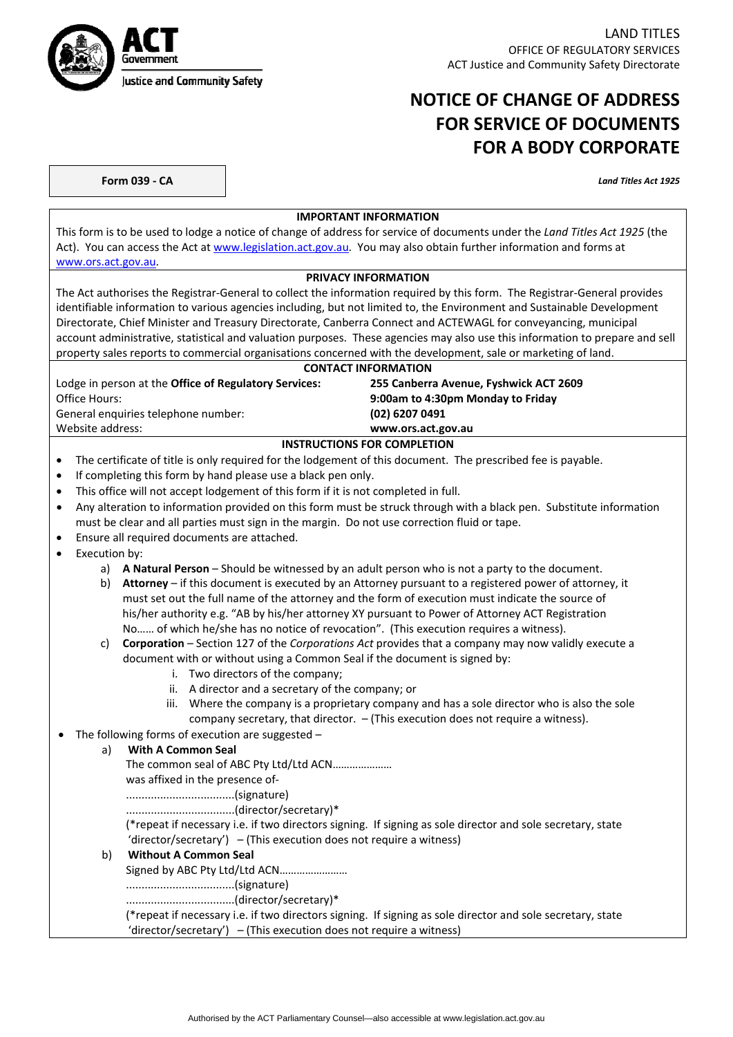

LAND TITLES OFFICE OF REGULATORY SERVICES ACT Justice and Community Safety Directorate

# **NOTICE OF CHANGE OF ADDRESS FOR SERVICE OF DOCUMENTS FOR A BODY CORPORATE**

**Form 039 ‐ CA** *Land Titles Act 1925*

#### **IMPORTANT INFORMATION**

This form is to be used to lodge a notice of change of address for service of documents under the *Land Titles Act 1925* (the Act). You can access the Act at www.legislation.act.gov.au. You may also obtain further information and forms at www.ors.act.gov.au.

### **PRIVACY INFORMATION**

The Act authorises the Registrar‐General to collect the information required by this form. The Registrar‐General provides identifiable information to various agencies including, but not limited to, the Environment and Sustainable Development Directorate, Chief Minister and Treasury Directorate, Canberra Connect and ACTEWAGL for conveyancing, municipal account administrative, statistical and valuation purposes. These agencies may also use this information to prepare and sell property sales reports to commercial organisations concerned with the development, sale or marketing of land.

#### **CONTACT INFORMATION**

Lodge in person at the **Office of Regulatory Services: 255 Canberra Avenue, Fyshwick ACT 2609** Office Hours: **9:00am to 4:30pm Monday to Friday** General enquiries telephone number: **(02) 6207 0491**

## Website address: **www.ors.act.gov.au**

#### **INSTRUCTIONS FOR COMPLETION**

- The certificate of title is only required for the lodgement of this document. The prescribed fee is payable.
- If completing this form by hand please use a black pen only.
- This office will not accept lodgement of this form if it is not completed in full.
- Any alteration to information provided on this form must be struck through with a black pen. Substitute information must be clear and all parties must sign in the margin. Do not use correction fluid or tape.
- Ensure all required documents are attached.
- Execution by:
	- a) **A Natural Person** Should be witnessed by an adult person who is not a party to the document.
	- b) **Attorney** if this document is executed by an Attorney pursuant to a registered power of attorney, it must set out the full name of the attorney and the form of execution must indicate the source of his/her authority e.g. "AB by his/her attorney XY pursuant to Power of Attorney ACT Registration No…… of which he/she has no notice of revocation". (This execution requires a witness).

#### c) **Corporation** – Section 127 of the *Corporations Act* provides that a company may now validly execute a document with or without using a Common Seal if the document is signed by:

- i. Two directors of the company;
- ii. A director and a secretary of the company; or
- iii. Where the company is a proprietary company and has a sole director who is also the sole company secretary, that director. – (This execution does not require a witness).

#### The following forms of execution are suggested –

#### a) **With A Common Seal** The common seal of ABC Pty Ltd/Ltd ACN………………… was affixed in the presence of‐ ...................................(signature) ...................................(director/secretary)\* (\*repeat if necessary i.e. if two directors signing. If signing as sole director and sole secretary, state 'director/secretary')  $-$  (This execution does not require a witness)

### b) **Without A Common Seal**

Signed by ABC Pty Ltd/Ltd ACN……………………

...................................(signature)

...................................(director/secretary)\*

(\*repeat if necessary i.e. if two directors signing. If signing as sole director and sole secretary, state 'director/secretary')  $-$  (This execution does not require a witness)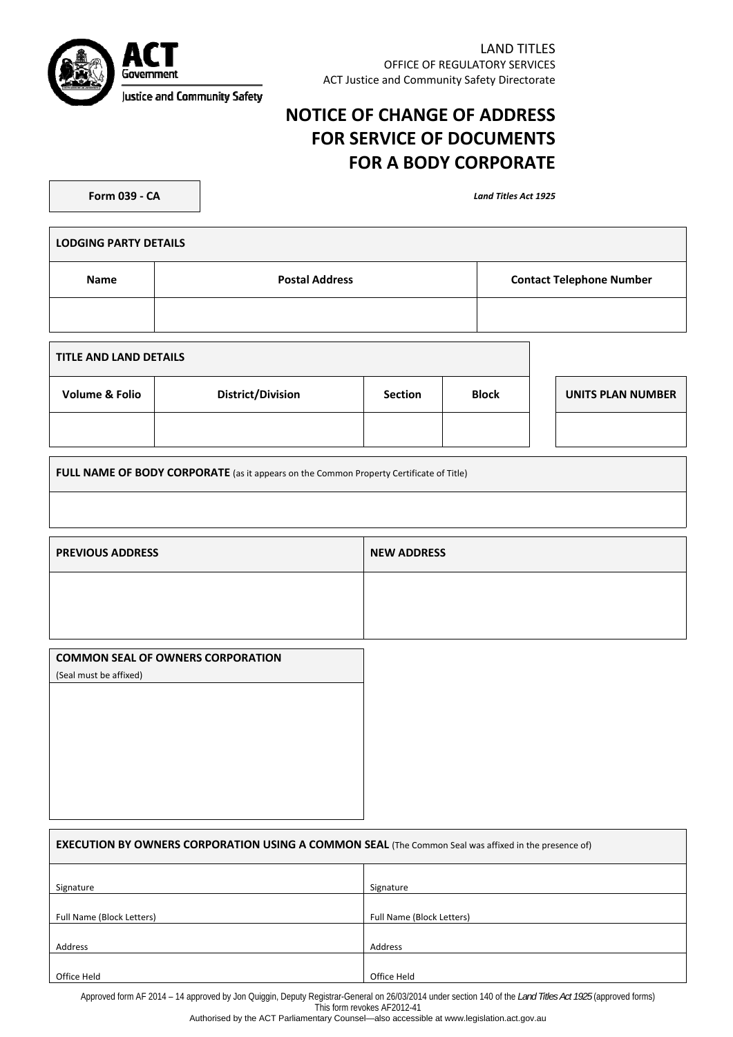

LAND TITLES OFFICE OF REGULATORY SERVICES ACT Justice and Community Safety Directorate

# **NOTICE OF CHANGE OF ADDRESS FOR SERVICE OF DOCUMENTS FOR A BODY CORPORATE**

**Form 039 ‐ CA** *Land Titles Act 1925*

| <b>LODGING PARTY DETAILS</b>  |                       |                                 |  |  |
|-------------------------------|-----------------------|---------------------------------|--|--|
| Name                          | <b>Postal Address</b> | <b>Contact Telephone Number</b> |  |  |
|                               |                       |                                 |  |  |
| <b>TITLE AND LAND DETAILS</b> |                       |                                 |  |  |

| <b>Volume &amp; Folio</b> | <b>District/Division</b> | <b>Section</b> | <b>Block</b> | UNITS PLAN NUMBER |
|---------------------------|--------------------------|----------------|--------------|-------------------|
|                           |                          |                |              |                   |

**FULL NAME OF BODY CORPORATE** (as it appears on the Common Property Certificate of Title)

| <b>PREVIOUS ADDRESS</b> | <b>NEW ADDRESS</b> |
|-------------------------|--------------------|
|                         |                    |
|                         |                    |

| <b>EXECUTION BY OWNERS CORPORATION USING A COMMON SEAL</b> (The Common Seal was affixed in the presence of) |                           |  |  |
|-------------------------------------------------------------------------------------------------------------|---------------------------|--|--|
| Signature                                                                                                   | Signature                 |  |  |
| Full Name (Block Letters)                                                                                   | Full Name (Block Letters) |  |  |
| Address                                                                                                     | Address                   |  |  |
| Office Held                                                                                                 | Office Held               |  |  |

Approved form AF 2014 – 14 approved by Jon Quiggin, Deputy Registrar-General on 26/03/2014 under section 140 of the *Land Titles Act 1925* (approved forms)

This form revokes AF2012-41

Authorised by the ACT Parliamentary Counsel—also accessible at www.legislation.act.gov.au